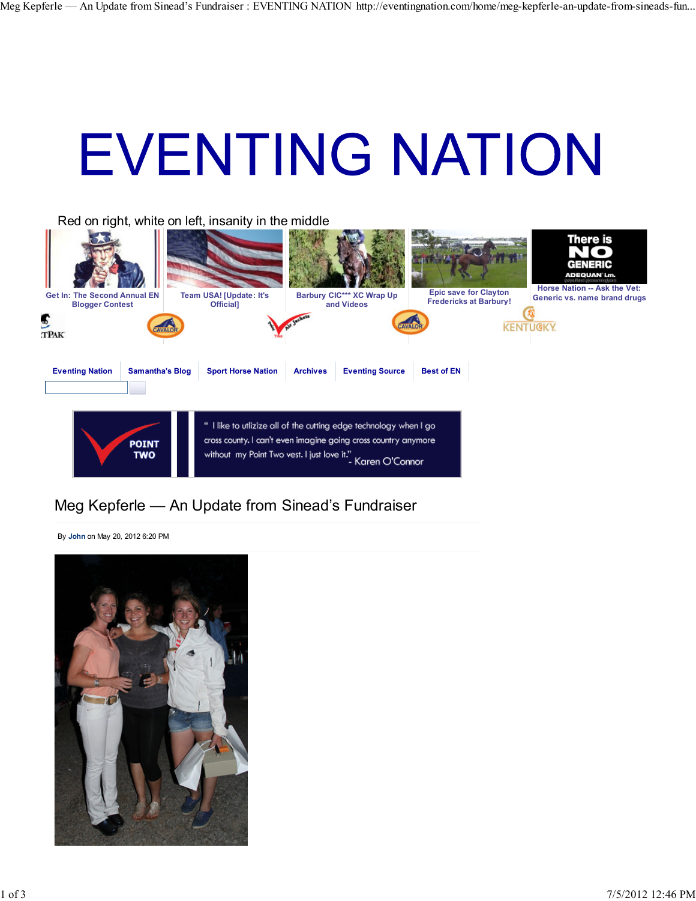## **EVENTING NATION**



## Meg Kepferle — An Update from Sinead's Fundraiser

By **John** on May 20, 2012 6:20 PM

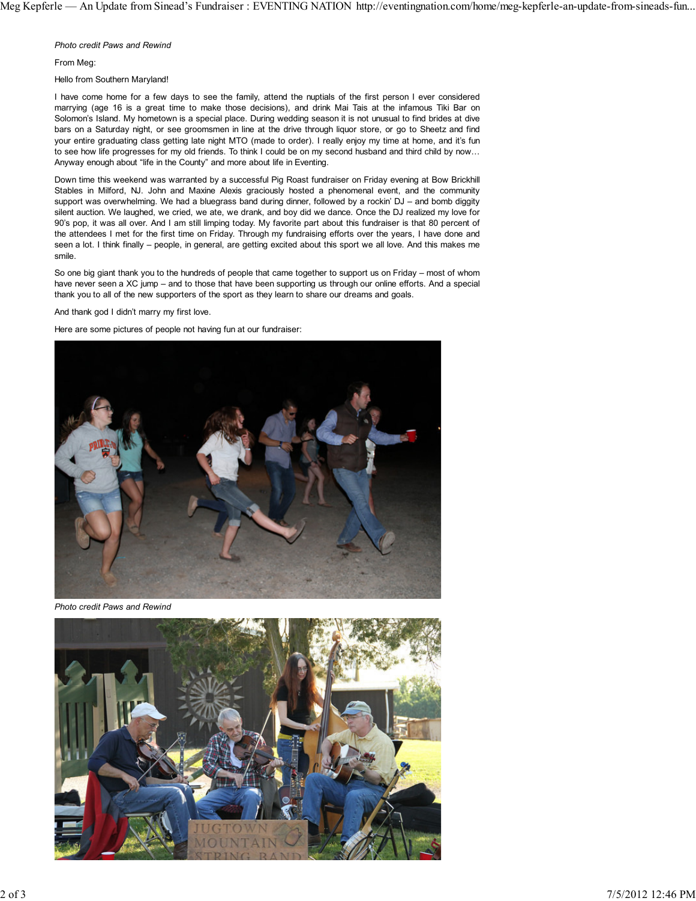*Photo credit Paws and Rewind*

From Meg:

Hello from Southern Maryland!

I have come home for a few days to see the family, attend the nuptials of the first person I ever considered marrying (age 16 is a great time to make those decisions), and drink Mai Tais at the infamous Tiki Bar on Solomon's Island. My hometown is a special place. During wedding season it is not unusual to find brides at dive bars on a Saturday night, or see groomsmen in line at the drive through liquor store, or go to Sheetz and find your entire graduating class getting late night MTO (made to order). I really enjoy my time at home, and it's fun to see how life progresses for my old friends. To think I could be on my second husband and third child by now… Anyway enough about "life in the County" and more about life in Eventing.

Down time this weekend was warranted by a successful Pig Roast fundraiser on Friday evening at Bow Brickhill Stables in Milford, NJ. John and Maxine Alexis graciously hosted a phenomenal event, and the community support was overwhelming. We had a bluegrass band during dinner, followed by a rockin' DJ – and bomb diggity silent auction. We laughed, we cried, we ate, we drank, and boy did we dance. Once the DJ realized my love for 90's pop, it was all over. And I am still limping today. My favorite part about this fundraiser is that 80 percent of the attendees I met for the first time on Friday. Through my fundraising efforts over the years, I have done and seen a lot. I think finally – people, in general, are getting excited about this sport we all love. And this makes me smile.

So one big giant thank you to the hundreds of people that came together to support us on Friday – most of whom have never seen a XC jump – and to those that have been supporting us through our online efforts. And a special thank you to all of the new supporters of the sport as they learn to share our dreams and goals.

And thank god I didn't marry my first love.

Here are some pictures of people not having fun at our fundraiser:



*Photo credit Paws and Rewind*